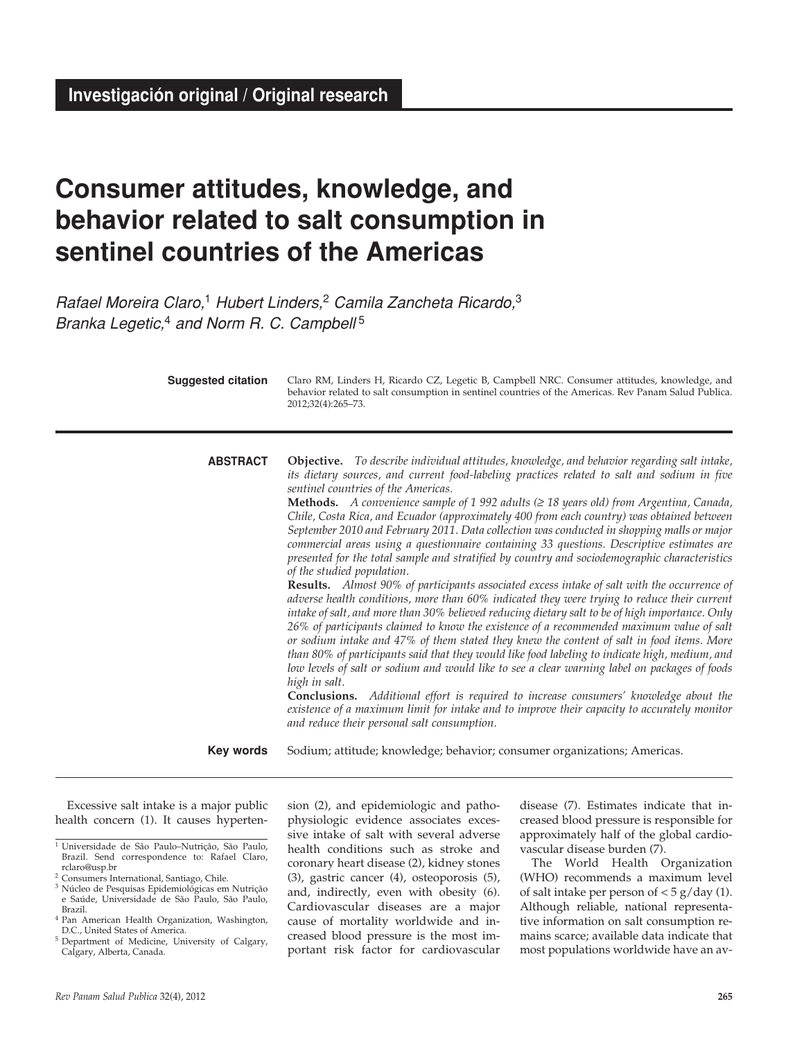# **Consumer attitudes, knowledge, and behavior related to salt consumption in sentinel countries of the Americas**

*Rafael Moreira Claro,*1 *Hubert Linders,*2 *Camila Zancheta Ricardo,*<sup>3</sup> *Branka Legetic,*4 *and Norm R. C. Campbell* <sup>5</sup>

| <b>Suggested citation</b> | Claro RM, Linders H, Ricardo CZ, Legetic B, Campbell NRC. Consumer attitudes, knowledge, and<br>behavior related to salt consumption in sentinel countries of the Americas. Rev Panam Salud Publica.<br>2012;32(4):265-73.                                                                                                                                                                                                                                                                                                                                                                                                                                                                                                                                                                                                                                                                                                                                                                                                                                                                                                                                                                                                                                                                                                                                                                                                                                                                                                                                                                                                                                                                                    |
|---------------------------|---------------------------------------------------------------------------------------------------------------------------------------------------------------------------------------------------------------------------------------------------------------------------------------------------------------------------------------------------------------------------------------------------------------------------------------------------------------------------------------------------------------------------------------------------------------------------------------------------------------------------------------------------------------------------------------------------------------------------------------------------------------------------------------------------------------------------------------------------------------------------------------------------------------------------------------------------------------------------------------------------------------------------------------------------------------------------------------------------------------------------------------------------------------------------------------------------------------------------------------------------------------------------------------------------------------------------------------------------------------------------------------------------------------------------------------------------------------------------------------------------------------------------------------------------------------------------------------------------------------------------------------------------------------------------------------------------------------|
| <b>ABSTRACT</b>           | Objective. To describe individual attitudes, knowledge, and behavior regarding salt intake,<br>its dietary sources, and current food-labeling practices related to salt and sodium in five<br>sentinel countries of the Americas.<br>Methods. A convenience sample of 1 992 adults ( $\geq$ 18 years old) from Argentina, Canada,<br>Chile, Costa Rica, and Ecuador (approximately 400 from each country) was obtained between<br>September 2010 and February 2011. Data collection was conducted in shopping malls or major<br>commercial areas using a questionnaire containing 33 questions. Descriptive estimates are<br>presented for the total sample and stratified by country and sociodemographic characteristics<br>of the studied population.<br>Results. Almost 90% of participants associated excess intake of salt with the occurrence of<br>adverse health conditions, more than 60% indicated they were trying to reduce their current<br>intake of salt, and more than 30% believed reducing dietary salt to be of high importance. Only<br>26% of participants claimed to know the existence of a recommended maximum value of salt<br>or sodium intake and 47% of them stated they knew the content of salt in food items. More<br>than 80% of participants said that they would like food labeling to indicate high, medium, and<br>low levels of salt or sodium and would like to see a clear warning label on packages of foods<br>high in salt.<br>Conclusions. Additional effort is required to increase consumers' knowledge about the<br>existence of a maximum limit for intake and to improve their capacity to accurately monitor<br>and reduce their personal salt consumption. |
| <b>Key words</b>          | Sodium; attitude; knowledge; behavior; consumer organizations; Americas.                                                                                                                                                                                                                                                                                                                                                                                                                                                                                                                                                                                                                                                                                                                                                                                                                                                                                                                                                                                                                                                                                                                                                                                                                                                                                                                                                                                                                                                                                                                                                                                                                                      |

Excessive salt intake is a major public health concern (1). It causes hyperten-

sion (2), and epidemiologic and pathophysiologic evidence associates excessive intake of salt with several adverse health conditions such as stroke and coronary heart disease (2), kidney stones (3), gastric cancer (4), osteoporosis (5), and, indirectly, even with obesity (6). Cardiovascular diseases are a major cause of mortality worldwide and increased blood pressure is the most important risk factor for cardiovascular

disease (7). Estimates indicate that increased blood pressure is responsible for approximately half of the global cardiovascular disease burden (7).

The World Health Organization (WHO) recommends a maximum level of salt intake per person of  $<$  5 g/day (1). Although reliable, national representative information on salt consumption remains scarce; available data indicate that most populations worldwide have an av-

<sup>1</sup> Universidade de São Paulo–Nutrição, São Paulo, Brazil. Send correspondence to: Rafael Claro, rclaro@usp.br

<sup>&</sup>lt;sup>2</sup> Consumers International, Santiago, Chile.

<sup>3</sup> Núcleo de Pesquisas Epidemiológicas em Nutrição e Saúde, Universidade de São Paulo, São Paulo, Brazil.

<sup>4</sup> Pan American Health Organization, Washington, D.C., United States of America.

<sup>5</sup> Department of Medicine, University of Calgary, Calgary, Alberta, Canada.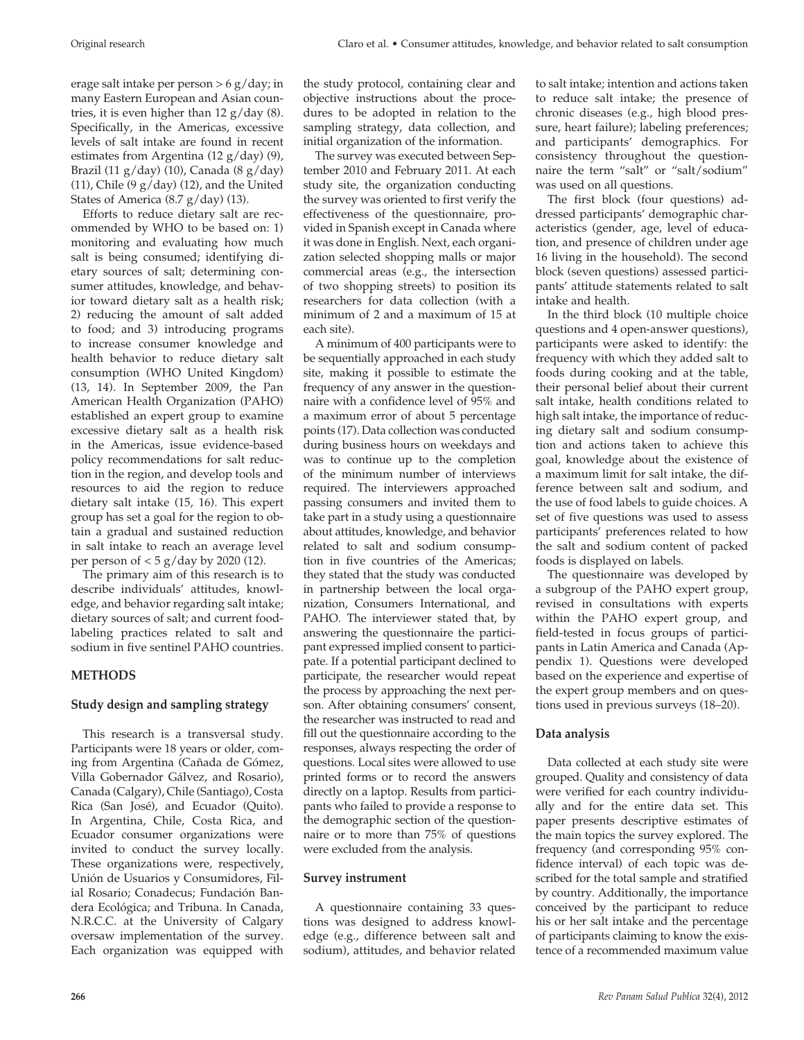erage salt intake per person > 6 g/day; in many Eastern European and Asian countries, it is even higher than  $12 \text{ g/day}$  (8). Specifically, in the Americas, excessive levels of salt intake are found in recent estimates from Argentina (12 g/day) (9), Brazil (11 g/day) (10), Canada (8 g/day) (11), Chile (9  $g$ /day) (12), and the United States of America (8.7 g/day) (13).

Efforts to reduce dietary salt are recommended by WHO to be based on: 1) monitoring and evaluating how much salt is being consumed; identifying dietary sources of salt; determining consumer attitudes, knowledge, and behavior toward dietary salt as a health risk; 2) reducing the amount of salt added to food; and 3) introducing programs to increase consumer knowledge and health behavior to reduce dietary salt consumption (WHO United Kingdom) (13, 14). In September 2009, the Pan American Health Organization (PAHO) established an expert group to examine excessive dietary salt as a health risk in the Americas, issue evidence-based policy recommendations for salt reduction in the region, and develop tools and resources to aid the region to reduce dietary salt intake (15, 16). This expert group has set a goal for the region to obtain a gradual and sustained reduction in salt intake to reach an average level per person of  $<$  5 g/day by 2020 (12).

The primary aim of this research is to describe individuals' attitudes, knowledge, and behavior regarding salt intake; dietary sources of salt; and current foodlabeling practices related to salt and sodium in five sentinel PAHO countries.

# **Methods**

# **Study design and sampling strategy**

This research is a transversal study. Participants were 18 years or older, coming from Argentina (Cañada de Gómez, Villa Gobernador Gálvez, and Rosario), Canada (Calgary), Chile (Santiago), Costa Rica (San José), and Ecuador (Quito). In Argentina, Chile, Costa Rica, and Ecuador consumer organizations were invited to conduct the survey locally. These organizations were, respectively, Unión de Usuarios y Consumidores, Filial Rosario; Conadecus; Fundación Bandera Ecológica; and Tribuna. In Canada, N.R.C.C. at the University of Calgary oversaw implementation of the survey. Each organization was equipped with

the study protocol, containing clear and objective instructions about the procedures to be adopted in relation to the sampling strategy, data collection, and initial organization of the information.

The survey was executed between September 2010 and February 2011. At each study site, the organization conducting the survey was oriented to first verify the effectiveness of the questionnaire, provided in Spanish except in Canada where it was done in English. Next, each organization selected shopping malls or major commercial areas (e.g., the intersection of two shopping streets) to position its researchers for data collection (with a minimum of 2 and a maximum of 15 at each site).

A minimum of 400 participants were to be sequentially approached in each study site, making it possible to estimate the frequency of any answer in the questionnaire with a confidence level of 95% and a maximum error of about 5 percentage points (17). Data collection was conducted during business hours on weekdays and was to continue up to the completion of the minimum number of interviews required. The interviewers approached passing consumers and invited them to take part in a study using a questionnaire about attitudes, knowledge, and behavior related to salt and sodium consumption in five countries of the Americas; they stated that the study was conducted in partnership between the local organization, Consumers International, and PAHO. The interviewer stated that, by answering the questionnaire the participant expressed implied consent to participate. If a potential participant declined to participate, the researcher would repeat the process by approaching the next person. After obtaining consumers' consent, the researcher was instructed to read and fill out the questionnaire according to the responses, always respecting the order of questions. Local sites were allowed to use printed forms or to record the answers directly on a laptop. Results from participants who failed to provide a response to the demographic section of the questionnaire or to more than 75% of questions were excluded from the analysis.

# **Survey instrument**

A questionnaire containing 33 questions was designed to address knowledge (e.g., difference between salt and sodium), attitudes, and behavior related to salt intake; intention and actions taken to reduce salt intake; the presence of chronic diseases (e.g., high blood pressure, heart failure); labeling preferences; and participants' demographics. For consistency throughout the questionnaire the term "salt" or "salt/sodium" was used on all questions.

The first block (four questions) addressed participants' demographic characteristics (gender, age, level of education, and presence of children under age 16 living in the household). The second block (seven questions) assessed participants' attitude statements related to salt intake and health.

In the third block (10 multiple choice questions and 4 open-answer questions), participants were asked to identify: the frequency with which they added salt to foods during cooking and at the table, their personal belief about their current salt intake, health conditions related to high salt intake, the importance of reducing dietary salt and sodium consumption and actions taken to achieve this goal, knowledge about the existence of a maximum limit for salt intake, the difference between salt and sodium, and the use of food labels to guide choices. A set of five questions was used to assess participants' preferences related to how the salt and sodium content of packed foods is displayed on labels.

The questionnaire was developed by a subgroup of the PAHO expert group, revised in consultations with experts within the PAHO expert group, and field-tested in focus groups of participants in Latin America and Canada (Appendix 1). Questions were developed based on the experience and expertise of the expert group members and on questions used in previous surveys (18–20).

# **Data analysis**

Data collected at each study site were grouped. Quality and consistency of data were verified for each country individually and for the entire data set. This paper presents descriptive estimates of the main topics the survey explored. The frequency (and corresponding 95% confidence interval) of each topic was described for the total sample and stratified by country. Additionally, the importance conceived by the participant to reduce his or her salt intake and the percentage of participants claiming to know the existence of a recommended maximum value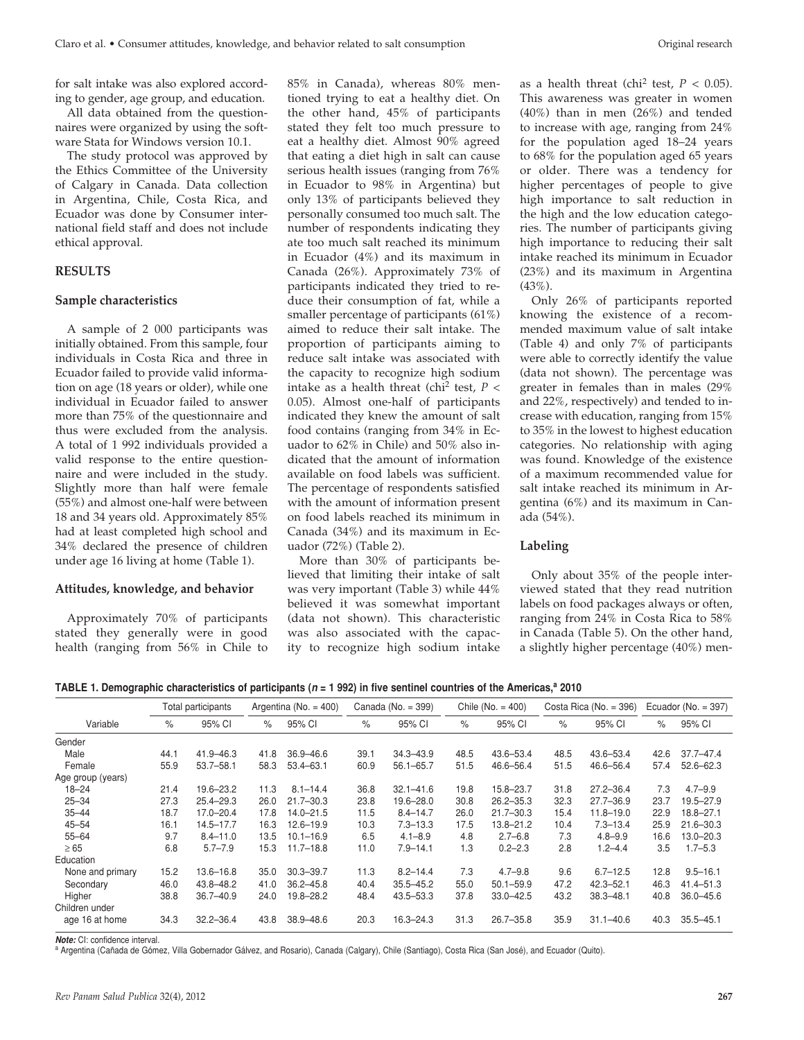for salt intake was also explored according to gender, age group, and education.

All data obtained from the questionnaires were organized by using the software Stata for Windows version 10.1.

The study protocol was approved by the Ethics Committee of the University of Calgary in Canada. Data collection in Argentina, Chile, Costa Rica, and Ecuador was done by Consumer international field staff and does not include ethical approval.

### **Results**

### **Sample characteristics**

A sample of 2 000 participants was initially obtained. From this sample, four individuals in Costa Rica and three in Ecuador failed to provide valid information on age (18 years or older), while one individual in Ecuador failed to answer more than 75% of the questionnaire and thus were excluded from the analysis. A total of 1 992 individuals provided a valid response to the entire questionnaire and were included in the study. Slightly more than half were female (55%) and almost one-half were between 18 and 34 years old. Approximately 85% had at least completed high school and 34% declared the presence of children under age 16 living at home (Table 1).

### **Attitudes, knowledge, and behavior**

Approximately 70% of participants stated they generally were in good health (ranging from 56% in Chile to 85% in Canada), whereas 80% mentioned trying to eat a healthy diet. On the other hand, 45% of participants stated they felt too much pressure to eat a healthy diet. Almost 90% agreed that eating a diet high in salt can cause serious health issues (ranging from 76% in Ecuador to 98% in Argentina) but only 13% of participants believed they personally consumed too much salt. The number of respondents indicating they ate too much salt reached its minimum in Ecuador (4%) and its maximum in Canada (26%). Approximately 73% of participants indicated they tried to reduce their consumption of fat, while a smaller percentage of participants (61%) aimed to reduce their salt intake. The proportion of participants aiming to reduce salt intake was associated with the capacity to recognize high sodium intake as a health threat (chi<sup>2</sup> test,  $P$  < 0.05). Almost one-half of participants indicated they knew the amount of salt food contains (ranging from 34% in Ecuador to 62% in Chile) and 50% also indicated that the amount of information available on food labels was sufficient. The percentage of respondents satisfied with the amount of information present on food labels reached its minimum in Canada (34%) and its maximum in Ecuador (72%) (Table 2).

More than 30% of participants believed that limiting their intake of salt was very important (Table 3) while 44% believed it was somewhat important (data not shown). This characteristic was also associated with the capacity to recognize high sodium intake

as a health threat (chi<sup>2</sup> test,  $P < 0.05$ ). This awareness was greater in women (40%) than in men (26%) and tended to increase with age, ranging from 24% for the population aged 18–24 years to 68% for the population aged 65 years or older. There was a tendency for higher percentages of people to give high importance to salt reduction in the high and the low education categories. The number of participants giving high importance to reducing their salt intake reached its minimum in Ecuador (23%) and its maximum in Argentina (43%).

Only 26% of participants reported knowing the existence of a recommended maximum value of salt intake (Table 4) and only 7% of participants were able to correctly identify the value (data not shown). The percentage was greater in females than in males (29% and 22%, respectively) and tended to increase with education, ranging from 15% to 35% in the lowest to highest education categories. No relationship with aging was found. Knowledge of the existence of a maximum recommended value for salt intake reached its minimum in Argentina (6%) and its maximum in Canada (54%).

### **Labeling**

Only about 35% of the people interviewed stated that they read nutrition labels on food packages always or often, ranging from 24% in Costa Rica to 58% in Canada (Table 5). On the other hand, a slightly higher percentage (40%) men-

**TABLE 1. Demographic characteristics of participants (** $n = 1$  **992) in five sentinel countries of the Americas,<sup>a</sup> 2010** 

|                   |      | Total participants |      | Argentina ( $No. = 400$ ) |      | Canada (No. = 399) |      | Chile ( $No. = 400$ ) |      | Costa Rica (No. $=$ 396) |      | Ecuador ( $No. = 397$ ) |
|-------------------|------|--------------------|------|---------------------------|------|--------------------|------|-----------------------|------|--------------------------|------|-------------------------|
| Variable          | $\%$ | 95% CI             | $\%$ | 95% CI                    | $\%$ | 95% CI             | $\%$ | 95% CI                | $\%$ | 95% CI                   | $\%$ | 95% CI                  |
| Gender            |      |                    |      |                           |      |                    |      |                       |      |                          |      |                         |
| Male              | 44.1 | $41.9 - 46.3$      | 41.8 | $36.9 - 46.6$             | 39.1 | $34.3 - 43.9$      | 48.5 | 43.6-53.4             | 48.5 | 43.6-53.4                | 42.6 | $37.7 - 47.4$           |
| Female            | 55.9 | $53.7 - 58.1$      | 58.3 | $53.4 - 63.1$             | 60.9 | $56.1 - 65.7$      | 51.5 | 46.6-56.4             | 51.5 | 46.6-56.4                | 57.4 | $52.6 - 62.3$           |
| Age group (years) |      |                    |      |                           |      |                    |      |                       |      |                          |      |                         |
| $18 - 24$         | 21.4 | $19.6 - 23.2$      | 11.3 | $8.1 - 14.4$              | 36.8 | $32.1 - 41.6$      | 19.8 | 15.8-23.7             | 31.8 | $27.2 - 36.4$            | 7.3  | $4.7 - 9.9$             |
| $25 - 34$         | 27.3 | $25.4 - 29.3$      | 26.0 | $21.7 - 30.3$             | 23.8 | 19.6-28.0          | 30.8 | $26.2 - 35.3$         | 32.3 | $27.7 - 36.9$            | 23.7 | 19.5-27.9               |
| $35 - 44$         | 18.7 | $17.0 - 20.4$      | 17.8 | $14.0 - 21.5$             | 11.5 | $8.4 - 14.7$       | 26.0 | $21.7 - 30.3$         | 15.4 | $11.8 - 19.0$            | 22.9 | $18.8 - 27.1$           |
| $45 - 54$         | 16.1 | $14.5 - 17.7$      | 16.3 | $12.6 - 19.9$             | 10.3 | $7.3 - 13.3$       | 17.5 | $13.8 - 21.2$         | 10.4 | $7.3 - 13.4$             | 25.9 | $21.6 - 30.3$           |
| $55 - 64$         | 9.7  | $8.4 - 11.0$       | 13.5 | $10.1 - 16.9$             | 6.5  | $4.1 - 8.9$        | 4.8  | $2.7 - 6.8$           | 7.3  | $4.8 - 9.9$              | 16.6 | $13.0 - 20.3$           |
| $\geq 65$         | 6.8  | $5.7 - 7.9$        | 15.3 | $11.7 - 18.8$             | 11.0 | $7.9 - 14.1$       | 1.3  | $0.2 - 2.3$           | 2.8  | $1.2 - 4.4$              | 3.5  | $1.7 - 5.3$             |
| Education         |      |                    |      |                           |      |                    |      |                       |      |                          |      |                         |
| None and primary  | 15.2 | $13.6 - 16.8$      | 35.0 | $30.3 - 39.7$             | 11.3 | $8.2 - 14.4$       | 7.3  | $4.7 - 9.8$           | 9.6  | $6.7 - 12.5$             | 12.8 | $9.5 - 16.1$            |
| Secondary         | 46.0 | 43.8-48.2          | 41.0 | $36.2 - 45.8$             | 40.4 | $35.5 - 45.2$      | 55.0 | $50.1 - 59.9$         | 47.2 | $42.3 - 52.1$            | 46.3 | $41.4 - 51.3$           |
| Higher            | 38.8 | $36.7 - 40.9$      | 24.0 | 19.8-28.2                 | 48.4 | 43.5 - 53.3        | 37.8 | $33.0 - 42.5$         | 43.2 | $38.3 - 48.1$            | 40.8 | $36.0 - 45.6$           |
| Children under    |      |                    |      |                           |      |                    |      |                       |      |                          |      |                         |
| age 16 at home    | 34.3 | $32.2 - 36.4$      | 43.8 | 38.9-48.6                 | 20.3 | $16.3 - 24.3$      | 31.3 | $26.7 - 35.8$         | 35.9 | $31.1 - 40.6$            | 40.3 | $35.5 - 45.1$           |

*Note:* CI: confidence interval.

a Argentina (Cañada de Gómez, Villa Gobernador Gálvez, and Rosario), Canada (Calgary), Chile (Santiago), Costa Rica (San José), and Ecuador (Quito).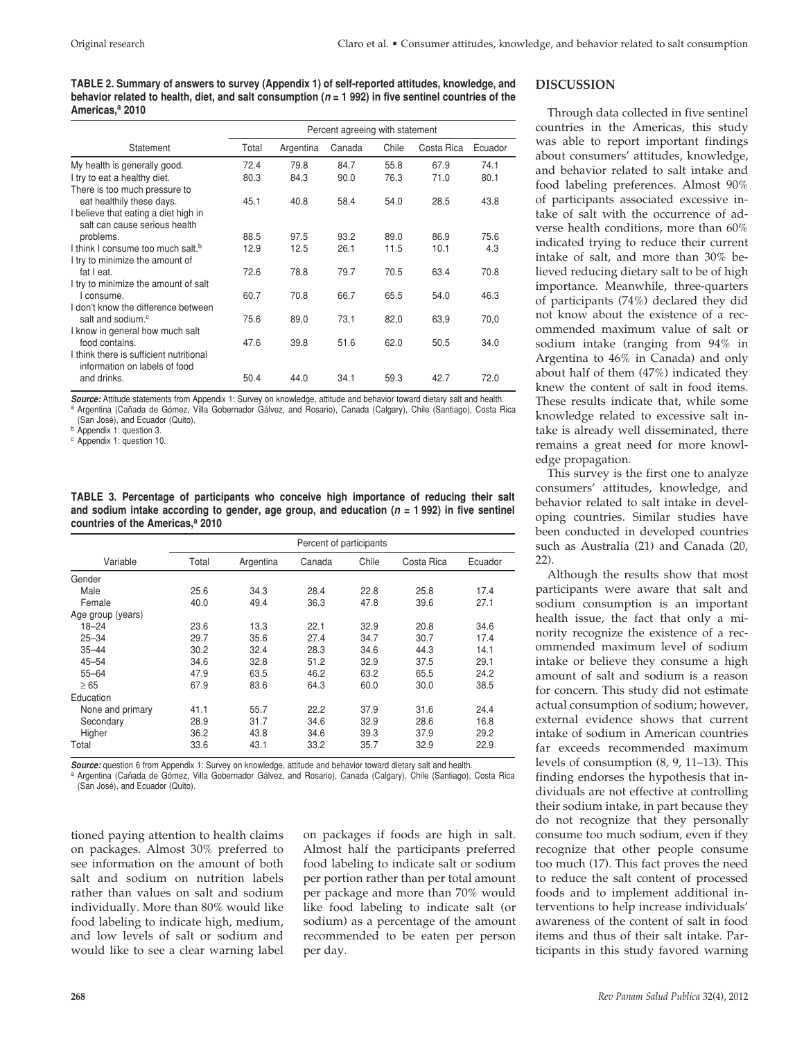**Table 2. Summary of answers to survey (Appendix 1) of self-reported attitudes, knowledge, and behavior related to health, diet, and salt consumption (***n* **= 1 992) in five sentinel countries of the Americas,a 2010**

|                                               | Percent agreeing with statement |           |        |       |            |         |
|-----------------------------------------------|---------------------------------|-----------|--------|-------|------------|---------|
| Statement                                     | Total                           | Argentina | Canada | Chile | Costa Rica | Ecuador |
| My health is generally good.                  | 72.4                            | 79.8      | 84.7   | 55.8  | 67.9       | 74.1    |
| I try to eat a healthy diet.                  | 80.3                            | 84.3      | 90.0   | 76.3  | 71.0       | 80.1    |
| There is too much pressure to                 |                                 |           |        |       |            |         |
| eat healthily these days.                     | 45.1                            | 40.8      | 58.4   | 54.0  | 28.5       | 43.8    |
| I believe that eating a diet high in          |                                 |           |        |       |            |         |
| salt can cause serious health                 |                                 |           |        |       |            |         |
| problems.                                     | 88.5                            | 97.5      | 93.2   | 89.0  | 86.9       | 75.6    |
| I think I consume too much salt. <sup>b</sup> | 12.9                            | 12.5      | 26.1   | 11.5  | 10.1       | 4.3     |
| I try to minimize the amount of               |                                 |           |        |       |            |         |
| fat I eat.                                    | 72.6                            | 78.8      | 79.7   | 70.5  | 63.4       | 70.8    |
| I try to minimize the amount of salt          |                                 |           |        |       |            |         |
| I consume.                                    | 60.7                            | 70.8      | 66.7   | 65.5  | 54.0       | 46.3    |
| I don't know the difference between           |                                 |           |        |       |            |         |
| salt and sodium. <sup>c</sup>                 | 75.6                            | 89,0      | 73,1   | 82,0  | 63,9       | 70,0    |
| I know in general how much salt               |                                 |           |        |       |            |         |
| food contains.                                | 47.6                            | 39.8      | 51.6   | 62.0  | 50.5       | 34.0    |
| I think there is sufficient nutritional       |                                 |           |        |       |            |         |
| information on labels of food                 |                                 |           |        |       |            |         |
| and drinks.                                   | 50.4                            | 44.0      | 34.1   | 59.3  | 42.7       | 72.0    |

*Source:* Attitude statements from Appendix 1: Survey on knowledge, attitude and behavior toward dietary salt and health. <sup>a</sup> Argentina (Cañada de Gómez, Villa Gobernador Gálvez, and Rosario), Canada (Calgary), Chile (Santiago), Costa Rica

(San José), and Ecuador (Quito).

<sup>b</sup> Appendix 1: question 3.

<sup>c</sup> Appendix 1: question 10.

**Table 3. Percentage of participants who conceive high importance of reducing their salt and sodium intake according to gender, age group, and education (***n* **= 1 992) in five sentinel countries of the Americas,a 2010**

|                   | Percent of participants |           |        |       |            |         |  |
|-------------------|-------------------------|-----------|--------|-------|------------|---------|--|
| Variable          | Total                   | Argentina | Canada | Chile | Costa Rica | Ecuador |  |
| Gender            |                         |           |        |       |            |         |  |
| Male              | 25.6                    | 34.3      | 28.4   | 22.8  | 25.8       | 17.4    |  |
| Female            | 40.0                    | 49.4      | 36.3   | 47.8  | 39.6       | 27.1    |  |
| Age group (years) |                         |           |        |       |            |         |  |
| $18 - 24$         | 23.6                    | 13.3      | 22.1   | 32.9  | 20.8       | 34.6    |  |
| $25 - 34$         | 29.7                    | 35.6      | 27.4   | 34.7  | 30.7       | 17.4    |  |
| $35 - 44$         | 30.2                    | 32.4      | 28.3   | 34.6  | 44.3       | 14.1    |  |
| $45 - 54$         | 34.6                    | 32.8      | 51.2   | 32.9  | 37.5       | 29.1    |  |
| $55 - 64$         | 47.9                    | 63.5      | 46.2   | 63.2  | 65.5       | 24.2    |  |
| $\geq 65$         | 67.9                    | 83.6      | 64.3   | 60.0  | 30.0       | 38.5    |  |
| Education         |                         |           |        |       |            |         |  |
| None and primary  | 41.1                    | 55.7      | 22.2   | 37.9  | 31.6       | 24.4    |  |
| Secondary         | 28.9                    | 31.7      | 34.6   | 32.9  | 28.6       | 16.8    |  |
| Higher            | 36.2                    | 43.8      | 34.6   | 39.3  | 37.9       | 29.2    |  |
| Total             | 33.6                    | 43.1      | 33.2   | 35.7  | 32.9       | 22.9    |  |

*Source:* question 6 from Appendix 1: Survey on knowledge, attitude and behavior toward dietary salt and health.

a Argentina (Cañada de Gómez, Villa Gobernador Gálvez, and Rosario), Canada (Calgary), Chile (Santiago), Costa Rica (San José), and Ecuador (Quito).

tioned paying attention to health claims on packages. Almost 30% preferred to see information on the amount of both salt and sodium on nutrition labels rather than values on salt and sodium individually. More than 80% would like food labeling to indicate high, medium, and low levels of salt or sodium and would like to see a clear warning label

on packages if foods are high in salt. Almost half the participants preferred food labeling to indicate salt or sodium per portion rather than per total amount per package and more than 70% would like food labeling to indicate salt (or sodium) as a percentage of the amount recommended to be eaten per person per day.

### **Discussion**

Through data collected in five sentinel countries in the Americas, this study was able to report important findings about consumers' attitudes, knowledge, and behavior related to salt intake and food labeling preferences. Almost 90% of participants associated excessive intake of salt with the occurrence of adverse health conditions, more than 60% indicated trying to reduce their current intake of salt, and more than 30% believed reducing dietary salt to be of high importance. Meanwhile, three-quarters of participants (74%) declared they did not know about the existence of a recommended maximum value of salt or sodium intake (ranging from 94% in Argentina to 46% in Canada) and only about half of them (47%) indicated they knew the content of salt in food items. These results indicate that, while some knowledge related to excessive salt intake is already well disseminated, there remains a great need for more knowledge propagation.

This survey is the first one to analyze consumers' attitudes, knowledge, and behavior related to salt intake in developing countries. Similar studies have been conducted in developed countries such as Australia (21) and Canada (20, 22).

Although the results show that most participants were aware that salt and sodium consumption is an important health issue, the fact that only a minority recognize the existence of a recommended maximum level of sodium intake or believe they consume a high amount of salt and sodium is a reason for concern. This study did not estimate actual consumption of sodium; however, external evidence shows that current intake of sodium in American countries far exceeds recommended maximum levels of consumption (8, 9, 11–13). This finding endorses the hypothesis that individuals are not effective at controlling their sodium intake, in part because they do not recognize that they personally consume too much sodium, even if they recognize that other people consume too much (17). This fact proves the need to reduce the salt content of processed foods and to implement additional interventions to help increase individuals' awareness of the content of salt in food items and thus of their salt intake. Participants in this study favored warning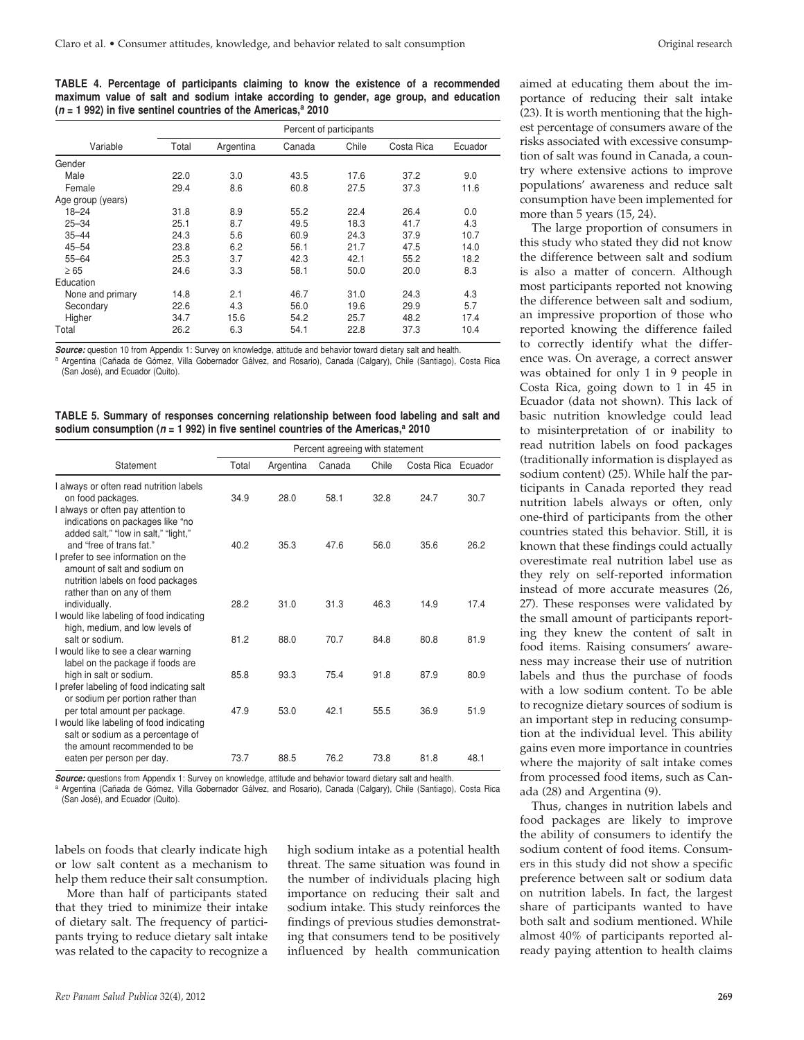**Table 4. Percentage of participants claiming to know the existence of a recommended maximum value of salt and sodium intake according to gender, age group, and education**   $(n = 1992)$  in five sentinel countries of the Americas,<sup>a</sup> 2010

|                   | Percent of participants |           |        |       |            |         |
|-------------------|-------------------------|-----------|--------|-------|------------|---------|
| Variable          | Total                   | Argentina | Canada | Chile | Costa Rica | Ecuador |
| Gender            |                         |           |        |       |            |         |
| Male              | 22.0                    | 3.0       | 43.5   | 17.6  | 37.2       | 9.0     |
| Female            | 29.4                    | 8.6       | 60.8   | 27.5  | 37.3       | 11.6    |
| Age group (years) |                         |           |        |       |            |         |
| $18 - 24$         | 31.8                    | 8.9       | 55.2   | 22.4  | 26.4       | 0.0     |
| $25 - 34$         | 25.1                    | 8.7       | 49.5   | 18.3  | 41.7       | 4.3     |
| $35 - 44$         | 24.3                    | 5.6       | 60.9   | 24.3  | 37.9       | 10.7    |
| $45 - 54$         | 23.8                    | 6.2       | 56.1   | 21.7  | 47.5       | 14.0    |
| $55 - 64$         | 25.3                    | 3.7       | 42.3   | 42.1  | 55.2       | 18.2    |
| $\geq 65$         | 24.6                    | 3.3       | 58.1   | 50.0  | 20.0       | 8.3     |
| Education         |                         |           |        |       |            |         |
| None and primary  | 14.8                    | 2.1       | 46.7   | 31.0  | 24.3       | 4.3     |
| Secondary         | 22.6                    | 4.3       | 56.0   | 19.6  | 29.9       | 5.7     |
| Higher            | 34.7                    | 15.6      | 54.2   | 25.7  | 48.2       | 17.4    |
| Total             | 26.2                    | 6.3       | 54.1   | 22.8  | 37.3       | 10.4    |

*Source:* question 10 from Appendix 1: Survey on knowledge, attitude and behavior toward dietary salt and health. Argentina (Cañada de Gómez, Villa Gobernador Gálvez, and Rosario), Canada (Calgary), Chile (Santiago), Costa Rica (San José), and Ecuador (Quito).

| TABLE 5. Summary of responses concerning relationship between food labeling and salt and      |  |  |  |  |  |
|-----------------------------------------------------------------------------------------------|--|--|--|--|--|
| sodium consumption ( $n$ = 1 992) in five sentinel countries of the Americas, $^{\rm a}$ 2010 |  |  |  |  |  |

|                                                                                                                                                | Percent agreeing with statement |           |        |       |                    |      |
|------------------------------------------------------------------------------------------------------------------------------------------------|---------------------------------|-----------|--------|-------|--------------------|------|
| Statement                                                                                                                                      | Total                           | Argentina | Canada | Chile | Costa Rica Ecuador |      |
| I always or often read nutrition labels<br>on food packages.                                                                                   | 34.9                            | 28.0      | 58.1   | 32.8  | 24.7               | 30.7 |
| I always or often pay attention to<br>indications on packages like "no<br>added salt," "low in salt," "light,"<br>and "free of trans fat."     | 40.2                            | 35.3      | 47.6   | 56.0  | 35.6               | 26.2 |
| I prefer to see information on the<br>amount of salt and sodium on<br>nutrition labels on food packages<br>rather than on any of them          |                                 |           |        |       |                    |      |
| individually.<br>I would like labeling of food indicating<br>high, medium, and low levels of                                                   | 28.2                            | 31.0      | 31.3   | 46.3  | 14.9               | 17.4 |
| salt or sodium.<br>I would like to see a clear warning<br>label on the package if foods are                                                    | 81.2                            | 88.0      | 70.7   | 84.8  | 80.8               | 81.9 |
| high in salt or sodium.<br>I prefer labeling of food indicating salt<br>or sodium per portion rather than                                      | 85.8                            | 93.3      | 75.4   | 91.8  | 87.9               | 80.9 |
| per total amount per package.<br>I would like labeling of food indicating<br>salt or sodium as a percentage of<br>the amount recommended to be | 47.9                            | 53.0      | 42.1   | 55.5  | 36.9               | 51.9 |
| eaten per person per day.                                                                                                                      | 73.7                            | 88.5      | 76.2   | 73.8  | 81.8               | 48.1 |

*Source:* questions from Appendix 1: Survey on knowledge, attitude and behavior toward dietary salt and health. Argentina (Cañada de Gómez, Villa Gobernador Gálvez, and Rosario), Canada (Calgary), Chile (Santiago), Costa Rica (San José), and Ecuador (Quito).

labels on foods that clearly indicate high or low salt content as a mechanism to help them reduce their salt consumption.

More than half of participants stated that they tried to minimize their intake of dietary salt. The frequency of participants trying to reduce dietary salt intake was related to the capacity to recognize a

high sodium intake as a potential health threat. The same situation was found in the number of individuals placing high importance on reducing their salt and sodium intake. This study reinforces the findings of previous studies demonstrating that consumers tend to be positively influenced by health communication

aimed at educating them about the importance of reducing their salt intake (23). It is worth mentioning that the highest percentage of consumers aware of the risks associated with excessive consumption of salt was found in Canada, a country where extensive actions to improve populations' awareness and reduce salt consumption have been implemented for more than 5 years (15, 24).

The large proportion of consumers in this study who stated they did not know the difference between salt and sodium is also a matter of concern. Although most participants reported not knowing the difference between salt and sodium, an impressive proportion of those who reported knowing the difference failed to correctly identify what the difference was. On average, a correct answer was obtained for only 1 in 9 people in Costa Rica, going down to 1 in 45 in Ecuador (data not shown). This lack of basic nutrition knowledge could lead to misinterpretation of or inability to read nutrition labels on food packages (traditionally information is displayed as sodium content) (25). While half the participants in Canada reported they read nutrition labels always or often, only one-third of participants from the other countries stated this behavior. Still, it is known that these findings could actually overestimate real nutrition label use as they rely on self-reported information instead of more accurate measures (26, 27). These responses were validated by the small amount of participants reporting they knew the content of salt in food items. Raising consumers' awareness may increase their use of nutrition labels and thus the purchase of foods with a low sodium content. To be able to recognize dietary sources of sodium is an important step in reducing consumption at the individual level. This ability gains even more importance in countries where the majority of salt intake comes from processed food items, such as Canada (28) and Argentina (9).

Thus, changes in nutrition labels and food packages are likely to improve the ability of consumers to identify the sodium content of food items. Consumers in this study did not show a specific preference between salt or sodium data on nutrition labels. In fact, the largest share of participants wanted to have both salt and sodium mentioned. While almost 40% of participants reported already paying attention to health claims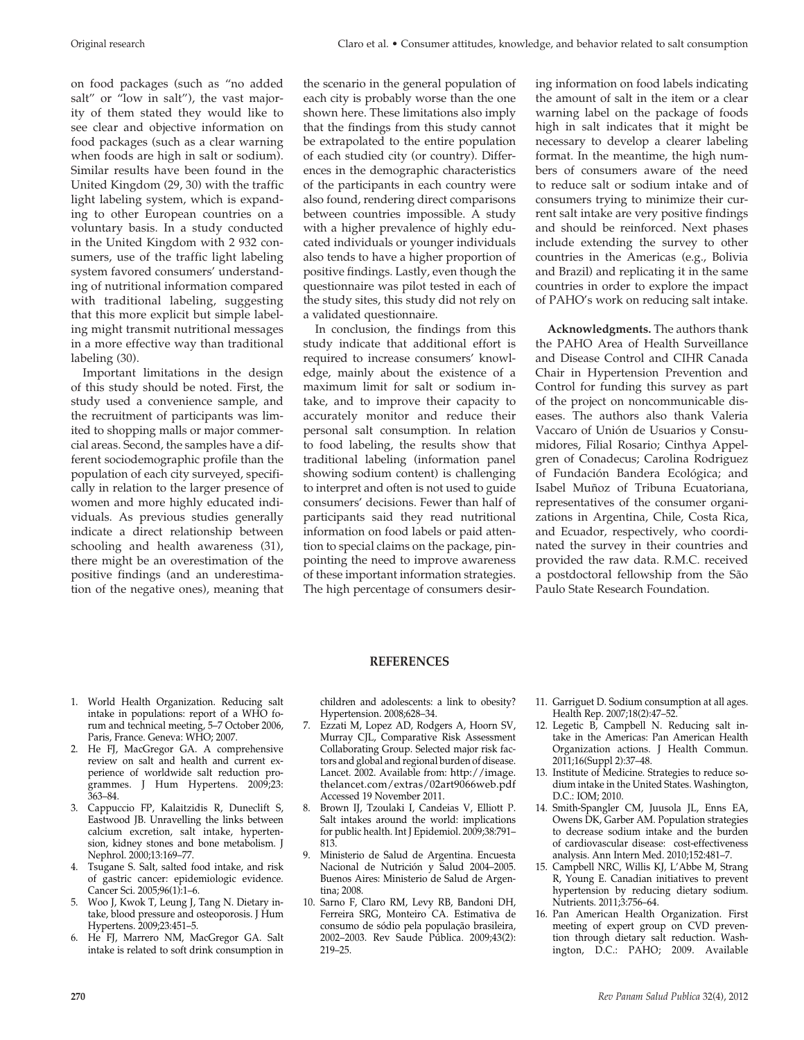on food packages (such as "no added salt" or "low in salt"), the vast majority of them stated they would like to see clear and objective information on food packages (such as a clear warning when foods are high in salt or sodium). Similar results have been found in the United Kingdom (29, 30) with the traffic light labeling system, which is expanding to other European countries on a voluntary basis. In a study conducted in the United Kingdom with 2 932 consumers, use of the traffic light labeling system favored consumers' understanding of nutritional information compared with traditional labeling, suggesting that this more explicit but simple labeling might transmit nutritional messages in a more effective way than traditional labeling (30).

Important limitations in the design of this study should be noted. First, the study used a convenience sample, and the recruitment of participants was limited to shopping malls or major commercial areas. Second, the samples have a different sociodemographic profile than the population of each city surveyed, specifically in relation to the larger presence of women and more highly educated individuals. As previous studies generally indicate a direct relationship between schooling and health awareness (31), there might be an overestimation of the positive findings (and an underestimation of the negative ones), meaning that the scenario in the general population of each city is probably worse than the one shown here. These limitations also imply that the findings from this study cannot be extrapolated to the entire population of each studied city (or country). Differences in the demographic characteristics of the participants in each country were also found, rendering direct comparisons between countries impossible. A study with a higher prevalence of highly educated individuals or younger individuals also tends to have a higher proportion of positive findings. Lastly, even though the questionnaire was pilot tested in each of the study sites, this study did not rely on a validated questionnaire.

In conclusion, the findings from this study indicate that additional effort is required to increase consumers' knowledge, mainly about the existence of a maximum limit for salt or sodium intake, and to improve their capacity to accurately monitor and reduce their personal salt consumption. In relation to food labeling, the results show that traditional labeling (information panel showing sodium content) is challenging to interpret and often is not used to guide consumers' decisions. Fewer than half of participants said they read nutritional information on food labels or paid attention to special claims on the package, pinpointing the need to improve awareness of these important information strategies. The high percentage of consumers desiring information on food labels indicating the amount of salt in the item or a clear warning label on the package of foods high in salt indicates that it might be necessary to develop a clearer labeling format. In the meantime, the high numbers of consumers aware of the need to reduce salt or sodium intake and of consumers trying to minimize their current salt intake are very positive findings and should be reinforced. Next phases include extending the survey to other countries in the Americas (e.g., Bolivia and Brazil) and replicating it in the same countries in order to explore the impact of PAHO's work on reducing salt intake.

**Acknowledgments.** The authors thank the PAHO Area of Health Surveillance and Disease Control and CIHR Canada Chair in Hypertension Prevention and Control for funding this survey as part of the project on noncommunicable diseases. The authors also thank Valeria Vaccaro of Unión de Usuarios y Consumidores, Filial Rosario; Cinthya Appelgren of Conadecus; Carolina Rodriguez of Fundación Bandera Ecológica; and Isabel Muñoz of Tribuna Ecuatoriana, representatives of the consumer organizations in Argentina, Chile, Costa Rica, and Ecuador, respectively, who coordinated the survey in their countries and provided the raw data. R.M.C. received a postdoctoral fellowship from the São Paulo State Research Foundation.

### **REFERENCES**

- 1. World Health Organization. Reducing salt intake in populations: report of a WHO forum and technical meeting, 5–7 October 2006, Paris, France. Geneva: WHO; 2007.
- 2. He FJ, MacGregor GA. A comprehensive review on salt and health and current experience of worldwide salt reduction programmes. J Hum Hypertens. 2009;23: 363–84.
- 3. Cappuccio FP, Kalaitzidis R, Duneclift S, Eastwood JB. Unravelling the links between calcium excretion, salt intake, hypertension, kidney stones and bone metabolism. J Nephrol. 2000;13:169–77.
- 4. Tsugane S. Salt, salted food intake, and risk of gastric cancer: epidemiologic evidence. Cancer Sci. 2005;96(1):1–6.
- 5. Woo J, Kwok T, Leung J, Tang N. Dietary intake, blood pressure and osteoporosis. J Hum Hypertens. 2009;23:451–5.
- 6. He FJ, Marrero NM, MacGregor GA. Salt intake is related to soft drink consumption in

children and adolescents: a link to obesity? Hypertension. 2008;628–34.

- 7. Ezzati M, Lopez AD, Rodgers A, Hoorn SV, Murray CJL, Comparative Risk Assessment Collaborating Group. Selected major risk factors and global and regional burden of disease. Lancet. 2002. Available from: http://image. thelancet.com/extras/02art9066web.pdf Accessed 19 November 2011.
- 8. Brown IJ, Tzoulaki I, Candeias V, Elliott P. Salt intakes around the world: implications for public health. Int J Epidemiol. 2009;38:791– 813.
- 9. Ministerio de Salud de Argentina. Encuesta Nacional de Nutrición y Salud 2004–2005. Buenos Aires: Ministerio de Salud de Argentina; 2008.
- 10. Sarno F, Claro RM, Levy RB, Bandoni DH, Ferreira SRG, Monteiro CA. Estimativa de consumo de sódio pela população brasileira, 2002–2003. Rev Saude Pública. 2009;43(2): 219–25.
- 11. Garriguet D. Sodium consumption at all ages. Health Rep. 2007;18(2):47–52.
- 12. Legetic B, Campbell N. Reducing salt intake in the Americas: Pan American Health Organization actions. J Health Commun. 2011;16(Suppl 2):37–48.
- 13. Institute of Medicine*.* Strategies to reduce sodium intake in the United States. Washington, D.C.: IOM; 2010.
- 14. Smith-Spangler CM, Juusola JL, Enns EA, Owens DK, Garber AM. Population strategies to decrease sodium intake and the burden of cardiovascular disease: cost-effectiveness analysis. Ann Intern Med. 2010;152:481–7.
- 15. Campbell NRC, Willis KJ, L'Abbe M, Strang R, Young E. Canadian initiatives to prevent hypertension by reducing dietary sodium. Nutrients. 2011;3:756–64.
- 16. Pan American Health Organization. First meeting of expert group on CVD prevention through dietary salt reduction. Washington, D.C.: PAHO; 2009. Available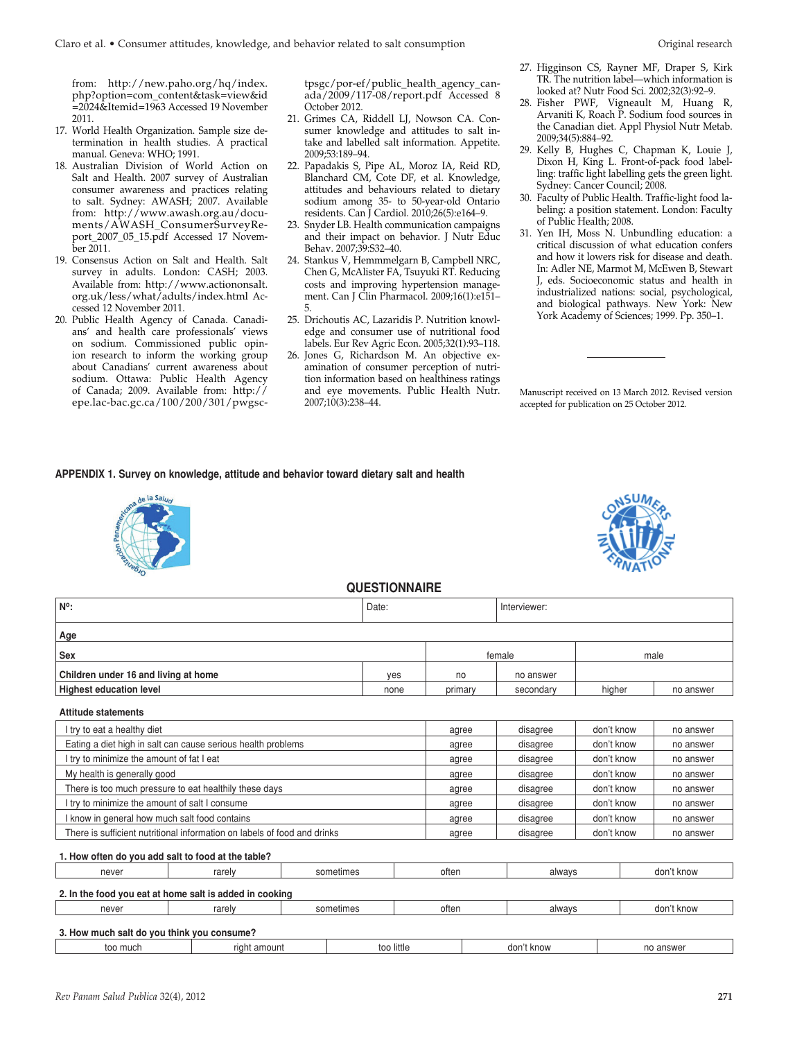from: http://new.paho.org/hq/index. php?option=com\_content&task=view&id =2024&Itemid=1963 Accessed 19 November 2011.

- 17. World Health Organization. Sample size determination in health studies. A practical manual. Geneva: WHO; 1991.
- 18. Australian Division of World Action on Salt and Health. 2007 survey of Australian consumer awareness and practices relating to salt. Sydney: AWASH; 2007. Available from: http://www.awash.org.au/documents/AWASH\_ConsumerSurveyReport\_2007\_05\_15.pdf Accessed 17 November 2011.
- 19. Consensus Action on Salt and Health. Salt survey in adults. London: CASH; 2003. Available from: http://www.actiononsalt. org.uk/less/what/adults/index.html Accessed 12 November 2011.
- 20. Public Health Agency of Canada. Canadians' and health care professionals' views on sodium. Commissioned public opinion research to inform the working group about Canadians' current awareness about sodium. Ottawa: Public Health Agency of Canada; 2009. Available from: http:// epe.lac-bac.gc.ca/100/200/301/pwgsc-

tpsgc/por-ef/public\_health\_agency\_canada/2009/117-08/report.pdf Accessed 8 October 2012.

- 21. Grimes CA, Riddell LJ, Nowson CA. Consumer knowledge and attitudes to salt intake and labelled salt information. Appetite. 2009;53:189–94.
- 22. Papadakis S, Pipe AL, Moroz IA, Reid RD, Blanchard CM, Cote DF, et al. Knowledge, attitudes and behaviours related to dietary sodium among 35- to 50-year-old Ontario residents. Can J Cardiol. 2010;26(5):e164–9.
- 23. Snyder LB. Health communication campaigns and their impact on behavior. J Nutr Educ Behav. 2007;39:S32–40.
- 24. Stankus V, Hemmmelgarn B, Campbell NRC, Chen G, McAlister FA, Tsuyuki RT. Reducing costs and improving hypertension management. Can J Clin Pharmacol. 2009;16(1):e151– 5.
- 25. Drichoutis AC, Lazaridis P. Nutrition knowledge and consumer use of nutritional food labels. Eur Rev Agric Econ. 2005;32(1):93–118.
- 26. Jones G, Richardson M. An objective examination of consumer perception of nutrition information based on healthiness ratings and eye movements. Public Health Nutr. 2007;10(3):238–44.
- 27. Higginson CS, Rayner MF, Draper S, Kirk TR. The nutrition label—which information is looked at? Nutr Food Sci. 2002;32(3):92–9.
- 28. Fisher PWF, Vigneault M, Huang R, Arvaniti K, Roach P. Sodium food sources in the Canadian diet. Appl Physiol Nutr Metab. 2009;34(5):884–92.
- 29. Kelly B, Hughes C, Chapman K, Louie J, Dixon H, King L. Front-of-pack food labelling: traffic light labelling gets the green light. Sydney: Cancer Council; 2008.
- 30. Faculty of Public Health. Traffic-light food labeling: a position statement. London: Faculty of Public Health; 2008.
- 31. Yen IH, Moss N. Unbundling education: a critical discussion of what education confers and how it lowers risk for disease and death. In: Adler NE, Marmot M, McEwen B, Stewart J, eds. Socioeconomic status and health in industrialized nations: social, psychological, and biological pathways. New York: New York Academy of Sciences; 1999. Pp. 350–1.

Manuscript received on 13 March 2012. Revised version accepted for publication on 25 October 2012.

### **APPENDIX 1. Survey on knowledge, attitude and behavior toward dietary salt and health**





# **QUESTIONNAIRE**

| <b>WULDI IUNNAINE</b>                |       |              |           |            |           |  |  |  |
|--------------------------------------|-------|--------------|-----------|------------|-----------|--|--|--|
| $N^{\circ}$ :                        | Date: | Interviewer: |           |            |           |  |  |  |
| Age                                  |       |              |           |            |           |  |  |  |
| Sex                                  |       |              | female    |            | male      |  |  |  |
| Children under 16 and living at home | yes   | no           | no answer |            |           |  |  |  |
| <b>Highest education level</b>       | none  | primary      | secondary | higher     | no answer |  |  |  |
| <b>Attitude statements</b>           |       |              |           |            |           |  |  |  |
| I try to eat a healthy diet          |       | agree        | disagree  | don't know | no answer |  |  |  |

| Eating a diet high in salt can cause serious health problems             | agree  | disagree | don't know | no answer  |           |  |
|--------------------------------------------------------------------------|--------|----------|------------|------------|-----------|--|
| I try to minimize the amount of fat I eat                                |        | agree    | disagree   | don't know | no answer |  |
| My health is generally good                                              |        | agree    | disagree   | don't know | no answer |  |
| There is too much pressure to eat healthily these days                   |        | agree    | disagree   | don't know | no answer |  |
| I try to minimize the amount of salt I consume                           | agree  | disagree | don't know | no answer  |           |  |
| I know in general how much salt food contains                            |        | agree    | disagree   | don't know | no answer |  |
| There is sufficient nutritional information on labels of food and drinks |        | agree    | disagree   | don't know | no answer |  |
| 1. How often do you add salt to food at the table?                       |        |          |            |            |           |  |
| rarely<br>never                                                          | always |          | don't know |            |           |  |

# **2. In the food you eat at home salt is added in cooking** never rarely sometimes often always don't know **3. How much salt do you think you consume?**

| much | amount | little | ، know | answer |
|------|--------|--------|--------|--------|
|      | rıaht  | too    | dor    | no     |
|      |        |        |        |        |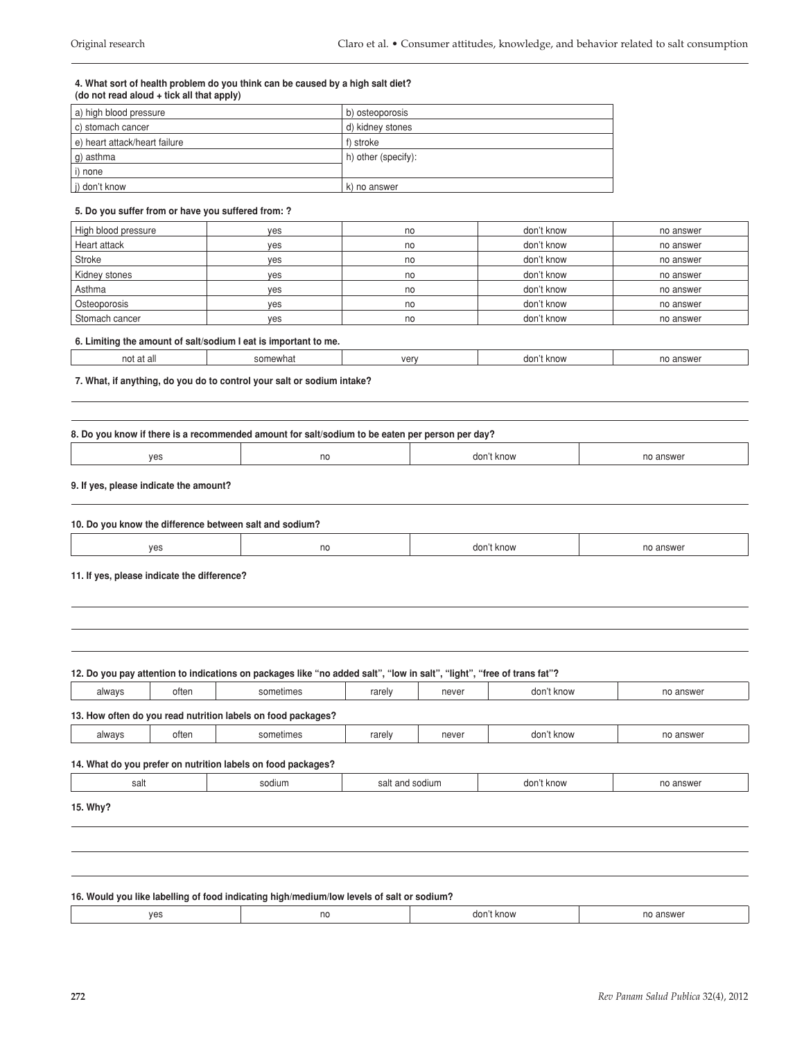#### **4. What sort of health problem do you think can be caused by a high salt diet? (do not read aloud + tick all that apply)**

| a) high blood pressure        | b) osteoporosis     |
|-------------------------------|---------------------|
| c) stomach cancer             | d) kidney stones    |
| e) heart attack/heart failure | f) stroke           |
| g) asthma                     | h) other (specify): |
| i) none                       |                     |
| j) don't know                 | k) no answer        |

### **5. Do you suffer from or have you suffered from: ?**

| High blood pressure | yes | no | don't know | no answer |
|---------------------|-----|----|------------|-----------|
| Heart attack        | yes | no | don't know | no answer |
| Stroke              | yes | no | don't know | no answer |
| Kidney stones       | ves | no | don't know | no answer |
| Asthma              | yes | no | don't know | no answer |
| Osteoporosis        | yes | no | don't know | no answer |
| Stomach cancer      | yes | no | don't know | no answer |

### **6. Limiting the amount of salt/sodium I eat is important to me.**

| וחר | .<br><b>L.VV</b> | $V\Omega r$<br>וטי | ការគ<br>dor<br><b>BUD</b> | POMC |
|-----|------------------|--------------------|---------------------------|------|
|     |                  |                    |                           |      |

### **7. What, if anything, do you do to control your salt or sodium intake?**

| 8. Do you know if there is a recommended amount for salt/sodium to be eaten per person per day? |  |  |  |  |  |  |
|-------------------------------------------------------------------------------------------------|--|--|--|--|--|--|
| don't know<br>ves<br>no answer<br>no                                                            |  |  |  |  |  |  |

### **9. If yes, please indicate the amount?**

| <br>10. Do<br>salt and sodium?<br>VOU<br>u know the difference between : |    |               |        |  |  |
|--------------------------------------------------------------------------|----|---------------|--------|--|--|
| ves                                                                      | no | dor<br>t know | answer |  |  |

#### **11. If yes, please indicate the difference?**

# **12. Do you pay attention to indications on packages like "no added salt", "low in salt", "light", "free of trans fat"?** always | often | sometimes | rarely | never | don't know | no answer

| 13. How often do you read nutrition labels on food packages? |       |           |        |       |            |           |
|--------------------------------------------------------------|-------|-----------|--------|-------|------------|-----------|
| always                                                       | often | sometimes | rarely | never | don't know | no answer |

### **14. What do you prefer on nutrition labels on food packages?**

| salt<br>$  -$ | odium | $\sim$<br>ה<br>-<br>-3999 | וחה<br>n. |  |
|---------------|-------|---------------------------|-----------|--|
|               |       |                           |           |  |

### **15. Why?**

| 16. Would you like labelling of food indicating high/medium/low levels of salt or sodium? |    |            |           |  |  |
|-------------------------------------------------------------------------------------------|----|------------|-----------|--|--|
| ves                                                                                       | no | don't know | no answer |  |  |